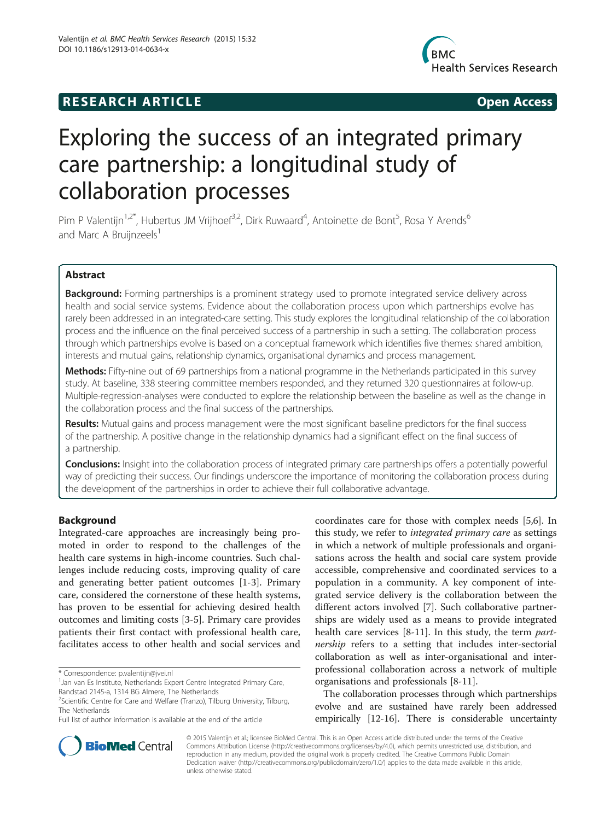## **RESEARCH ARTICLE Example 2014 12:30 The SEAR CHA RTICLE**



# Exploring the success of an integrated primary care partnership: a longitudinal study of collaboration processes

Pim P Valentijn<sup>1,2\*</sup>, Hubertus JM Vrijhoef<sup>3,2</sup>, Dirk Ruwaard<sup>4</sup>, Antoinette de Bont<sup>5</sup>, Rosa Y Arends<sup>6</sup> and Marc A Bruijnzeels $<sup>1</sup>$ </sup>

## Abstract

Background: Forming partnerships is a prominent strategy used to promote integrated service delivery across health and social service systems. Evidence about the collaboration process upon which partnerships evolve has rarely been addressed in an integrated-care setting. This study explores the longitudinal relationship of the collaboration process and the influence on the final perceived success of a partnership in such a setting. The collaboration process through which partnerships evolve is based on a conceptual framework which identifies five themes: shared ambition, interests and mutual gains, relationship dynamics, organisational dynamics and process management.

Methods: Fifty-nine out of 69 partnerships from a national programme in the Netherlands participated in this survey study. At baseline, 338 steering committee members responded, and they returned 320 questionnaires at follow-up. Multiple-regression-analyses were conducted to explore the relationship between the baseline as well as the change in the collaboration process and the final success of the partnerships.

Results: Mutual gains and process management were the most significant baseline predictors for the final success of the partnership. A positive change in the relationship dynamics had a significant effect on the final success of a partnership.

Conclusions: Insight into the collaboration process of integrated primary care partnerships offers a potentially powerful way of predicting their success. Our findings underscore the importance of monitoring the collaboration process during the development of the partnerships in order to achieve their full collaborative advantage.

## Background

Integrated-care approaches are increasingly being promoted in order to respond to the challenges of the health care systems in high-income countries. Such challenges include reducing costs, improving quality of care and generating better patient outcomes [\[1](#page-7-0)-[3\]](#page-7-0). Primary care, considered the cornerstone of these health systems, has proven to be essential for achieving desired health outcomes and limiting costs [[3-5](#page-7-0)]. Primary care provides patients their first contact with professional health care, facilitates access to other health and social services and

coordinates care for those with complex needs [[5,6\]](#page-7-0). In this study, we refer to integrated primary care as settings in which a network of multiple professionals and organisations across the health and social care system provide accessible, comprehensive and coordinated services to a population in a community. A key component of integrated service delivery is the collaboration between the different actors involved [\[7](#page-7-0)]. Such collaborative partnerships are widely used as a means to provide integrated health care services [[8-11\]](#page-7-0). In this study, the term *part*nership refers to a setting that includes inter-sectorial collaboration as well as inter-organisational and interprofessional collaboration across a network of multiple organisations and professionals [[8](#page-7-0)-[11\]](#page-7-0).

The collaboration processes through which partnerships evolve and are sustained have rarely been addressed empirically [\[12](#page-7-0)-[16](#page-7-0)]. There is considerable uncertainty



© 2015 Valentijn et al.; licensee BioMed Central. This is an Open Access article distributed under the terms of the Creative Commons Attribution License [\(http://creativecommons.org/licenses/by/4.0\)](http://creativecommons.org/licenses/by/4.0), which permits unrestricted use, distribution, and reproduction in any medium, provided the original work is properly credited. The Creative Commons Public Domain Dedication waiver [\(http://creativecommons.org/publicdomain/zero/1.0/](http://creativecommons.org/publicdomain/zero/1.0/)) applies to the data made available in this article, unless otherwise stated.

<sup>\*</sup> Correspondence: [p.valentijn@jvei.nl](mailto:p.valentijn@jvei.nl) <sup>1</sup>

<sup>&</sup>lt;sup>1</sup> Jan van Es Institute, Netherlands Expert Centre Integrated Primary Care, Randstad 2145-a, 1314 BG Almere, The Netherlands

<sup>&</sup>lt;sup>2</sup>Scientific Centre for Care and Welfare (Tranzo), Tilburg University, Tilburg, The Netherlands

Full list of author information is available at the end of the article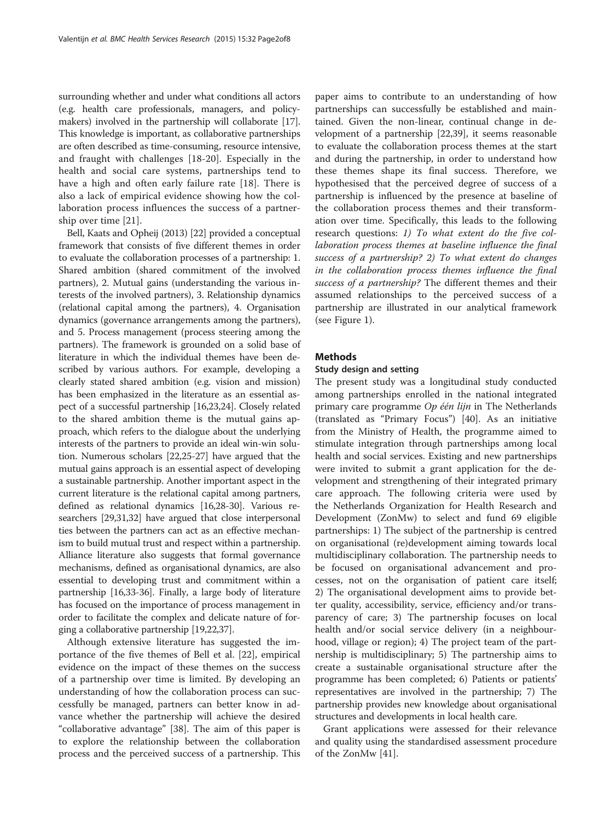<span id="page-1-0"></span>surrounding whether and under what conditions all actors (e.g. health care professionals, managers, and policymakers) involved in the partnership will collaborate [[17](#page-7-0)]. This knowledge is important, as collaborative partnerships are often described as time-consuming, resource intensive, and fraught with challenges [\[18](#page-7-0)-[20\]](#page-7-0). Especially in the health and social care systems, partnerships tend to have a high and often early failure rate [\[18](#page-7-0)]. There is also a lack of empirical evidence showing how the collaboration process influences the success of a partnership over time [[21\]](#page-7-0).

Bell, Kaats and Opheij (2013) [\[22\]](#page-7-0) provided a conceptual framework that consists of five different themes in order to evaluate the collaboration processes of a partnership: 1. Shared ambition (shared commitment of the involved partners), 2. Mutual gains (understanding the various interests of the involved partners), 3. Relationship dynamics (relational capital among the partners), 4. Organisation dynamics (governance arrangements among the partners), and 5. Process management (process steering among the partners). The framework is grounded on a solid base of literature in which the individual themes have been described by various authors. For example, developing a clearly stated shared ambition (e.g. vision and mission) has been emphasized in the literature as an essential aspect of a successful partnership [\[16,23,24](#page-7-0)]. Closely related to the shared ambition theme is the mutual gains approach, which refers to the dialogue about the underlying interests of the partners to provide an ideal win-win solution. Numerous scholars [\[22,25](#page-7-0)-[27](#page-7-0)] have argued that the mutual gains approach is an essential aspect of developing a sustainable partnership. Another important aspect in the current literature is the relational capital among partners, defined as relational dynamics [[16](#page-7-0),[28](#page-7-0)-[30](#page-7-0)]. Various researchers [[29](#page-7-0),[31,32\]](#page-7-0) have argued that close interpersonal ties between the partners can act as an effective mechanism to build mutual trust and respect within a partnership. Alliance literature also suggests that formal governance mechanisms, defined as organisational dynamics, are also essential to developing trust and commitment within a partnership [[16](#page-7-0),[33](#page-7-0)-[36](#page-7-0)]. Finally, a large body of literature has focused on the importance of process management in order to facilitate the complex and delicate nature of forging a collaborative partnership [\[19,22,37](#page-7-0)].

Although extensive literature has suggested the importance of the five themes of Bell et al. [[22\]](#page-7-0), empirical evidence on the impact of these themes on the success of a partnership over time is limited. By developing an understanding of how the collaboration process can successfully be managed, partners can better know in advance whether the partnership will achieve the desired "collaborative advantage" [[38\]](#page-7-0). The aim of this paper is to explore the relationship between the collaboration process and the perceived success of a partnership. This

paper aims to contribute to an understanding of how partnerships can successfully be established and maintained. Given the non-linear, continual change in development of a partnership [[22,39\]](#page-7-0), it seems reasonable to evaluate the collaboration process themes at the start and during the partnership, in order to understand how these themes shape its final success. Therefore, we hypothesised that the perceived degree of success of a partnership is influenced by the presence at baseline of the collaboration process themes and their transformation over time. Specifically, this leads to the following research questions: 1) To what extent do the five collaboration process themes at baseline influence the final success of a partnership? 2) To what extent do changes in the collaboration process themes influence the final success of a partnership? The different themes and their assumed relationships to the perceived success of a partnership are illustrated in our analytical framework (see Figure [1](#page-2-0)).

## **Methods**

## Study design and setting

The present study was a longitudinal study conducted among partnerships enrolled in the national integrated primary care programme Op één lijn in The Netherlands (translated as "Primary Focus") [[40\]](#page-7-0). As an initiative from the Ministry of Health, the programme aimed to stimulate integration through partnerships among local health and social services. Existing and new partnerships were invited to submit a grant application for the development and strengthening of their integrated primary care approach. The following criteria were used by the Netherlands Organization for Health Research and Development (ZonMw) to select and fund 69 eligible partnerships: 1) The subject of the partnership is centred on organisational (re)development aiming towards local multidisciplinary collaboration. The partnership needs to be focused on organisational advancement and processes, not on the organisation of patient care itself; 2) The organisational development aims to provide better quality, accessibility, service, efficiency and/or transparency of care; 3) The partnership focuses on local health and/or social service delivery (in a neighbourhood, village or region); 4) The project team of the partnership is multidisciplinary; 5) The partnership aims to create a sustainable organisational structure after the programme has been completed; 6) Patients or patients' representatives are involved in the partnership; 7) The partnership provides new knowledge about organisational structures and developments in local health care.

Grant applications were assessed for their relevance and quality using the standardised assessment procedure of the ZonMw [\[41\]](#page-7-0).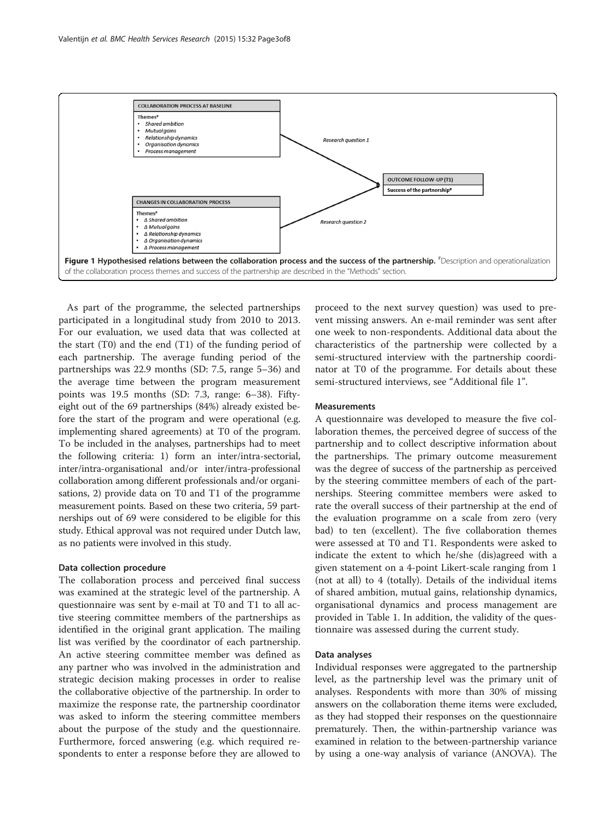<span id="page-2-0"></span>

As part of the programme, the selected partnerships participated in a longitudinal study from 2010 to 2013. For our evaluation, we used data that was collected at the start (T0) and the end (T1) of the funding period of each partnership. The average funding period of the partnerships was 22.9 months (SD: 7.5, range 5–36) and the average time between the program measurement points was 19.5 months (SD: 7.3, range: 6–38). Fiftyeight out of the 69 partnerships (84%) already existed before the start of the program and were operational (e.g. implementing shared agreements) at T0 of the program. To be included in the analyses, partnerships had to meet the following criteria: 1) form an inter/intra-sectorial, inter/intra-organisational and/or inter/intra-professional collaboration among different professionals and/or organisations, 2) provide data on T0 and T1 of the programme measurement points. Based on these two criteria, 59 partnerships out of 69 were considered to be eligible for this study. Ethical approval was not required under Dutch law, as no patients were involved in this study.

#### Data collection procedure

The collaboration process and perceived final success was examined at the strategic level of the partnership. A questionnaire was sent by e-mail at T0 and T1 to all active steering committee members of the partnerships as identified in the original grant application. The mailing list was verified by the coordinator of each partnership. An active steering committee member was defined as any partner who was involved in the administration and strategic decision making processes in order to realise the collaborative objective of the partnership. In order to maximize the response rate, the partnership coordinator was asked to inform the steering committee members about the purpose of the study and the questionnaire. Furthermore, forced answering (e.g. which required respondents to enter a response before they are allowed to

proceed to the next survey question) was used to prevent missing answers. An e-mail reminder was sent after one week to non-respondents. Additional data about the characteristics of the partnership were collected by a semi-structured interview with the partnership coordinator at T0 of the programme. For details about these semi-structured interviews, see "Additional file [1](#page-6-0)".

### **Measurements**

A questionnaire was developed to measure the five collaboration themes, the perceived degree of success of the partnership and to collect descriptive information about the partnerships. The primary outcome measurement was the degree of success of the partnership as perceived by the steering committee members of each of the partnerships. Steering committee members were asked to rate the overall success of their partnership at the end of the evaluation programme on a scale from zero (very bad) to ten (excellent). The five collaboration themes were assessed at T0 and T1. Respondents were asked to indicate the extent to which he/she (dis)agreed with a given statement on a 4-point Likert-scale ranging from 1 (not at all) to 4 (totally). Details of the individual items of shared ambition, mutual gains, relationship dynamics, organisational dynamics and process management are provided in Table [1.](#page-3-0) In addition, the validity of the questionnaire was assessed during the current study.

#### Data analyses

Individual responses were aggregated to the partnership level, as the partnership level was the primary unit of analyses. Respondents with more than 30% of missing answers on the collaboration theme items were excluded, as they had stopped their responses on the questionnaire prematurely. Then, the within-partnership variance was examined in relation to the between-partnership variance by using a one-way analysis of variance (ANOVA). The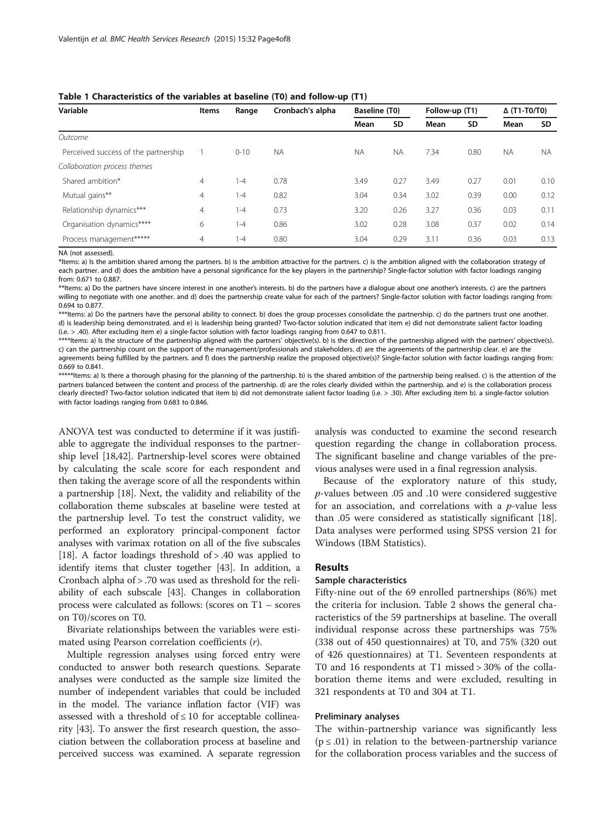| Variable                             | <b>Items</b> | Range    | Cronbach's alpha | Baseline (T0) |           | Follow-up (T1) |      | $\Delta$ (T1-T0/T0) |           |
|--------------------------------------|--------------|----------|------------------|---------------|-----------|----------------|------|---------------------|-----------|
|                                      |              |          |                  | Mean          | <b>SD</b> | Mean           | SD   | Mean                | SD.       |
| Outcome                              |              |          |                  |               |           |                |      |                     |           |
| Perceived success of the partnership |              | $0 - 10$ | <b>NA</b>        | <b>NA</b>     | <b>NA</b> | 7.34           | 0.80 | <b>NA</b>           | <b>NA</b> |
| Collaboration process themes         |              |          |                  |               |           |                |      |                     |           |
| Shared ambition*                     | 4            | $1 - 4$  | 0.78             | 3.49          | 0.27      | 3.49           | 0.27 | 0.01                | 0.10      |
| Mutual gains**                       | 4            | $1 - 4$  | 0.82             | 3.04          | 0.34      | 3.02           | 0.39 | 0.00                | 0.12      |
| Relationship dynamics***             | 4            | $1 - 4$  | 0.73             | 3.20          | 0.26      | 3.27           | 0.36 | 0.03                | 0.11      |
| Organisation dynamics****            | 6            | $1 - 4$  | 0.86             | 3.02          | 0.28      | 3.08           | 0.37 | 0.02                | 0.14      |
| Process management*****              | 4            | $1 - 4$  | 0.80             | 3.04          | 0.29      | 3.11           | 0.36 | 0.03                | 0.13      |

<span id="page-3-0"></span>

|  |  | Table 1 Characteristics of the variables at baseline (T0) and follow-up (T1) |  |  |  |  |  |  |  |  |  |  |
|--|--|------------------------------------------------------------------------------|--|--|--|--|--|--|--|--|--|--|
|--|--|------------------------------------------------------------------------------|--|--|--|--|--|--|--|--|--|--|

NA (not assessed).

\*Items: a) Is the ambition shared among the partners. b) is the ambition attractive for the partners. c) is the ambition aligned with the collaboration strategy of each partner. and d) does the ambition have a personal significance for the key players in the partnership? Single-factor solution with factor loadings ranging from: 0.671 to 0.887.

\*\*Items: a) Do the partners have sincere interest in one another's interests. b) do the partners have a dialogue about one another's interests. c) are the partners willing to negotiate with one another. and d) does the partnership create value for each of the partners? Single-factor solution with factor loadings ranging from: 0.694 to 0.877.

\*\*\*Items: a) Do the partners have the personal ability to connect. b) does the group processes consolidate the partnership. c) do the partners trust one another. d) is leadership being demonstrated. and e) is leadership being granted? Two-factor solution indicated that item e) did not demonstrate salient factor loading (i.e. > .40). After excluding item e) a single-factor solution with factor loadings ranging from 0.647 to 0.811.

\*\*\*\*Items: a) Is the structure of the partnership aligned with the partners' objective(s). b) is the direction of the partnership aligned with the partners' objective(s). c) can the partnership count on the support of the management/professionals and stakeholders. d) are the agreements of the partnership clear. e) are the agreements being fulfilled by the partners. and f) does the partnership realize the proposed objective(s)? Single-factor solution with factor loadings ranging from: 0.669 to 0.841.

\*\*\*\*\*Items: a) Is there a thorough phasing for the planning of the partnership. b) is the shared ambition of the partnership being realised. c) is the attention of the partners balanced between the content and process of the partnership. d) are the roles clearly divided within the partnership. and e) is the collaboration process clearly directed? Two-factor solution indicated that item b) did not demonstrate salient factor loading (i.e. > .30). After excluding item b). a single-factor solution with factor loadings ranging from 0.683 to 0.846.

ANOVA test was conducted to determine if it was justifiable to aggregate the individual responses to the partnership level [\[18,42\]](#page-7-0). Partnership-level scores were obtained by calculating the scale score for each respondent and then taking the average score of all the respondents within a partnership [[18](#page-7-0)]. Next, the validity and reliability of the collaboration theme subscales at baseline were tested at the partnership level. To test the construct validity, we performed an exploratory principal-component factor analyses with varimax rotation on all of the five subscales [[18](#page-7-0)]. A factor loadings threshold of > .40 was applied to identify items that cluster together [\[43](#page-7-0)]. In addition, a Cronbach alpha of > .70 was used as threshold for the reliability of each subscale [[43\]](#page-7-0). Changes in collaboration process were calculated as follows: (scores on T1 – scores on T0)/scores on T0.

Bivariate relationships between the variables were estimated using Pearson correlation coefficients (r).

Multiple regression analyses using forced entry were conducted to answer both research questions. Separate analyses were conducted as the sample size limited the number of independent variables that could be included in the model. The variance inflation factor (VIF) was assessed with a threshold of  $\leq 10$  for acceptable collinearity [[43](#page-7-0)]. To answer the first research question, the association between the collaboration process at baseline and perceived success was examined. A separate regression analysis was conducted to examine the second research question regarding the change in collaboration process. The significant baseline and change variables of the previous analyses were used in a final regression analysis.

Because of the exploratory nature of this study, p-values between .05 and .10 were considered suggestive for an association, and correlations with a  $p$ -value less than .05 were considered as statistically significant [\[18](#page-7-0)]. Data analyses were performed using SPSS version 21 for Windows (IBM Statistics).

## Results

## Sample characteristics

Fifty-nine out of the 69 enrolled partnerships (86%) met the criteria for inclusion. Table [2](#page-4-0) shows the general characteristics of the 59 partnerships at baseline. The overall individual response across these partnerships was 75% (338 out of 450 questionnaires) at T0, and 75% (320 out of 426 questionnaires) at T1. Seventeen respondents at T0 and 16 respondents at T1 missed > 30% of the collaboration theme items and were excluded, resulting in 321 respondents at T0 and 304 at T1.

#### Preliminary analyses

The within-partnership variance was significantly less  $(p \leq .01)$  in relation to the between-partnership variance for the collaboration process variables and the success of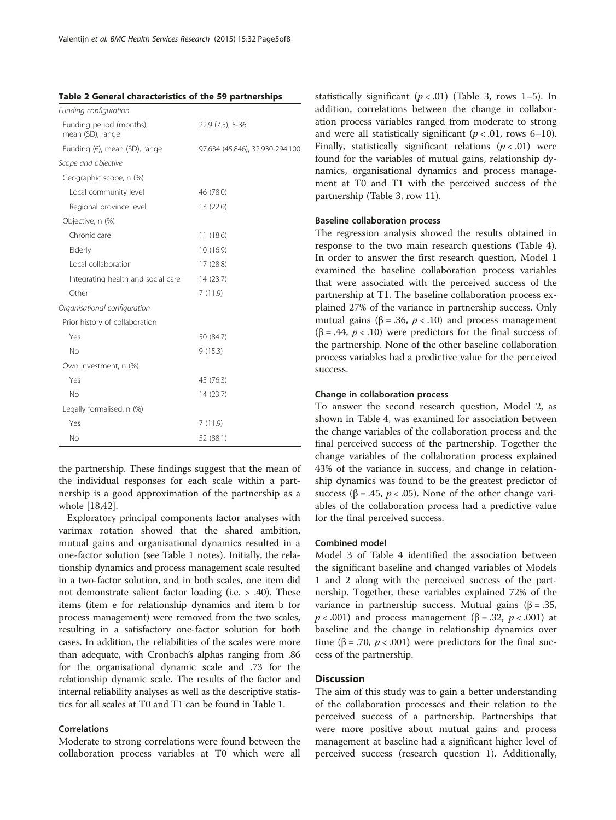<span id="page-4-0"></span>

|  | Table 2 General characteristics of the 59 partnerships |  |  |
|--|--------------------------------------------------------|--|--|
|--|--------------------------------------------------------|--|--|

| 22.9 (7.5), 5-36                |
|---------------------------------|
| 97.634 (45.846), 32.930-294.100 |
|                                 |
|                                 |
| 46 (78.0)                       |
| 13 (22.0)                       |
|                                 |
| 11(18.6)                        |
| 10 (16.9)                       |
| 17 (28.8)                       |
| 14 (23.7)                       |
| 7(11.9)                         |
|                                 |
|                                 |
| 50 (84.7)                       |
| 9(15.3)                         |
|                                 |
| 45 (76.3)                       |
| 14 (23.7)                       |
|                                 |
| 7(11.9)                         |
| 52 (88.1)                       |
|                                 |

the partnership. These findings suggest that the mean of the individual responses for each scale within a partnership is a good approximation of the partnership as a whole [\[18,42\]](#page-7-0).

Exploratory principal components factor analyses with varimax rotation showed that the shared ambition, mutual gains and organisational dynamics resulted in a one-factor solution (see Table [1](#page-3-0) notes). Initially, the relationship dynamics and process management scale resulted in a two-factor solution, and in both scales, one item did not demonstrate salient factor loading (i.e. > .40). These items (item e for relationship dynamics and item b for process management) were removed from the two scales, resulting in a satisfactory one-factor solution for both cases. In addition, the reliabilities of the scales were more than adequate, with Cronbach's alphas ranging from .86 for the organisational dynamic scale and .73 for the relationship dynamic scale. The results of the factor and internal reliability analyses as well as the descriptive statistics for all scales at T0 and T1 can be found in Table [1.](#page-3-0)

#### Correlations

Moderate to strong correlations were found between the collaboration process variables at T0 which were all statistically significant  $(p < .01)$  (Table [3](#page-5-0), rows 1–5). In addition, correlations between the change in collaboration process variables ranged from moderate to strong and were all statistically significant ( $p < .01$ , rows 6–10). Finally, statistically significant relations  $(p < .01)$  were found for the variables of mutual gains, relationship dynamics, organisational dynamics and process management at T0 and T1 with the perceived success of the partnership (Table [3,](#page-5-0) row 11).

#### Baseline collaboration process

The regression analysis showed the results obtained in response to the two main research questions (Table [4](#page-5-0)). In order to answer the first research question, Model 1 examined the baseline collaboration process variables that were associated with the perceived success of the partnership at T1. The baseline collaboration process explained 27% of the variance in partnership success. Only mutual gains (β = .36,  $p < 0.10$ ) and process management ( $\beta$  = .44,  $p$  < .10) were predictors for the final success of the partnership. None of the other baseline collaboration process variables had a predictive value for the perceived success.

## Change in collaboration process

To answer the second research question, Model 2, as shown in Table [4,](#page-5-0) was examined for association between the change variables of the collaboration process and the final perceived success of the partnership. Together the change variables of the collaboration process explained 43% of the variance in success, and change in relationship dynamics was found to be the greatest predictor of success ( $\beta$  = .45,  $p < .05$ ). None of the other change variables of the collaboration process had a predictive value for the final perceived success.

#### Combined model

Model 3 of Table [4](#page-5-0) identified the association between the significant baseline and changed variables of Models 1 and 2 along with the perceived success of the partnership. Together, these variables explained 72% of the variance in partnership success. Mutual gains (β = .35,  $p < .001$ ) and process management ( $\beta = .32$ ,  $p < .001$ ) at baseline and the change in relationship dynamics over time ( $\beta$  = .70,  $p$  < .001) were predictors for the final success of the partnership.

## **Discussion**

The aim of this study was to gain a better understanding of the collaboration processes and their relation to the perceived success of a partnership. Partnerships that were more positive about mutual gains and process management at baseline had a significant higher level of perceived success (research question 1). Additionally,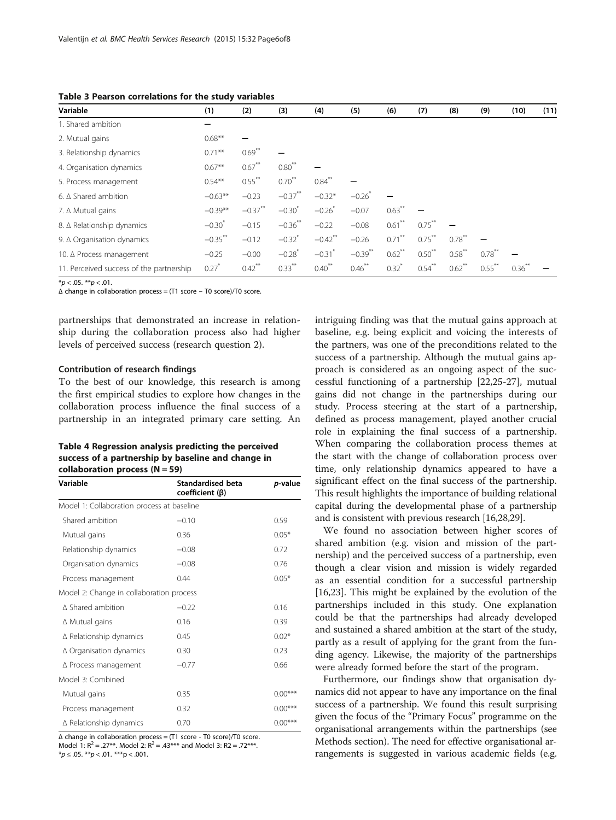| Variable                                 | (1)                  | (2)                  | (3)                  | (4)                   | (5)                  | (6)                  | (7)       | (8)                  | (9)                  | (10)      | (11) |
|------------------------------------------|----------------------|----------------------|----------------------|-----------------------|----------------------|----------------------|-----------|----------------------|----------------------|-----------|------|
| 1. Shared ambition                       |                      |                      |                      |                       |                      |                      |           |                      |                      |           |      |
| 2. Mutual gains                          | $0.68**$             |                      |                      |                       |                      |                      |           |                      |                      |           |      |
| 3. Relationship dynamics                 | $0.71***$            | $0.69***$            |                      |                       |                      |                      |           |                      |                      |           |      |
| 4. Organisation dynamics                 | $0.67**$             | $0.67$ **            | $0.80$ <sup>**</sup> |                       |                      |                      |           |                      |                      |           |      |
| 5. Process management                    | $0.54***$            | $0.55***$            | $0.70***$            | $0.84$ <sup>**</sup>  |                      |                      |           |                      |                      |           |      |
| 6. $\triangle$ Shared ambition           | $-0.63**$            | $-0.23$              | $-0.37***$           | $-0.32*$              | $-0.26$ <sup>*</sup> |                      |           |                      |                      |           |      |
| 7. ∆ Mutual gains                        | $-0.39**$            | $-0.37$ **           | $-0.30^{*}$          | $-0.26$               | $-0.07$              | $0.63$ **            |           |                      |                      |           |      |
| 8. ∆ Relationship dynamics               | $-0.30$ <sup>*</sup> | $-0.15$              | $-0.36$ **           | $-0.22$               | $-0.08$              | $0.61$ <sup>**</sup> | $0.75***$ |                      |                      |           |      |
| 9. $\triangle$ Organisation dynamics     | $-0.35***$           | $-0.12$              | $-0.32$ <sup>*</sup> | $-0.42$ <sup>**</sup> | $-0.26$              | $0.71***$            | $0.75***$ | $0.78***$            |                      |           |      |
| 10. ∆ Process management                 | $-0.25$              | $-0.00$              | $-0.28$ <sup>*</sup> | $-0.31$ <sup>*</sup>  | $-0.39$ **           | $0.62$ <sup>**</sup> | $0.50***$ | $0.58$ **            | $0.78$ **            |           |      |
| 11. Perceived success of the partnership | $0.27$ <sup>*</sup>  | $0.42$ <sup>**</sup> | $0.33***$            | $0.40$ <sup>**</sup>  | $0.46***$            | $0.32$ <sup>*</sup>  | $0.54***$ | $0.62$ <sup>**</sup> | $0.55$ <sup>**</sup> | $0.36***$ |      |

<span id="page-5-0"></span>Table 3 Pearson correlations for the study variables

 $*<sub>p</sub> < .05.$  \*\* $<sub>p</sub> < .01.$ </sub>

Δ change in collaboration process = (T1 score – T0 score)/T0 score.

partnerships that demonstrated an increase in relationship during the collaboration process also had higher levels of perceived success (research question 2).

#### Contribution of research findings

To the best of our knowledge, this research is among the first empirical studies to explore how changes in the collaboration process influence the final success of a partnership in an integrated primary care setting. An

## Table 4 Regression analysis predicting the perceived success of a partnership by baseline and change in collaboration process  $(N = 59)$

| Variable                                   | <b>Standardised beta</b><br>$coefficient (\beta)$ | <i>p</i> -value |  |  |  |  |  |  |
|--------------------------------------------|---------------------------------------------------|-----------------|--|--|--|--|--|--|
| Model 1: Collaboration process at baseline |                                                   |                 |  |  |  |  |  |  |
| Shared ambition                            | $-0.10$                                           | 0.59            |  |  |  |  |  |  |
| Mutual gains                               | 0.36                                              | $0.05*$         |  |  |  |  |  |  |
| Relationship dynamics                      | $-0.08$                                           | 0.72            |  |  |  |  |  |  |
| Organisation dynamics                      | $-0.08$                                           | 0.76            |  |  |  |  |  |  |
| Process management                         | 0.44                                              | $0.05*$         |  |  |  |  |  |  |
| Model 2: Change in collaboration process   |                                                   |                 |  |  |  |  |  |  |
| $\triangle$ Shared ambition                | $-0.22$                                           | 0.16            |  |  |  |  |  |  |
| $\Delta$ Mutual gains                      | 0.16                                              | 0.39            |  |  |  |  |  |  |
| $\triangle$ Relationship dynamics          | 0.45                                              | $0.02*$         |  |  |  |  |  |  |
| $\triangle$ Organisation dynamics          | 0.30                                              | 0.23            |  |  |  |  |  |  |
| $\Delta$ Process management                | $-0.77$                                           | 0.66            |  |  |  |  |  |  |
| Model 3: Combined                          |                                                   |                 |  |  |  |  |  |  |
| Mutual gains                               | 0.35                                              | $0.00***$       |  |  |  |  |  |  |
| Process management                         | 0.32                                              | $0.00***$       |  |  |  |  |  |  |
| ∆ Relationship dynamics                    | 0.70                                              | $0.00***$       |  |  |  |  |  |  |

Δ change in collaboration process = (T1 score - T0 score)/T0 score. Model 1:  $R^2 = .27^{**}$ . Model 2:  $R^2 = .43^{***}$  and Model 3: R2 = .72\*\*\*.  $**p* \le .05$ .  $**p* < .01$ .  $**p* < .001$ .

intriguing finding was that the mutual gains approach at baseline, e.g. being explicit and voicing the interests of the partners, was one of the preconditions related to the success of a partnership. Although the mutual gains approach is considered as an ongoing aspect of the successful functioning of a partnership [\[22,25](#page-7-0)-[27\]](#page-7-0), mutual gains did not change in the partnerships during our study. Process steering at the start of a partnership, defined as process management, played another crucial role in explaining the final success of a partnership. When comparing the collaboration process themes at the start with the change of collaboration process over time, only relationship dynamics appeared to have a significant effect on the final success of the partnership. This result highlights the importance of building relational capital during the developmental phase of a partnership and is consistent with previous research [[16,28,29\]](#page-7-0).

We found no association between higher scores of shared ambition (e.g. vision and mission of the partnership) and the perceived success of a partnership, even though a clear vision and mission is widely regarded as an essential condition for a successful partnership [[16,23\]](#page-7-0). This might be explained by the evolution of the partnerships included in this study. One explanation could be that the partnerships had already developed and sustained a shared ambition at the start of the study, partly as a result of applying for the grant from the funding agency. Likewise, the majority of the partnerships were already formed before the start of the program.

Furthermore, our findings show that organisation dynamics did not appear to have any importance on the final success of a partnership. We found this result surprising given the focus of the "Primary Focus" programme on the organisational arrangements within the partnerships (see [Methods](#page-1-0) section). The need for effective organisational arrangements is suggested in various academic fields (e.g.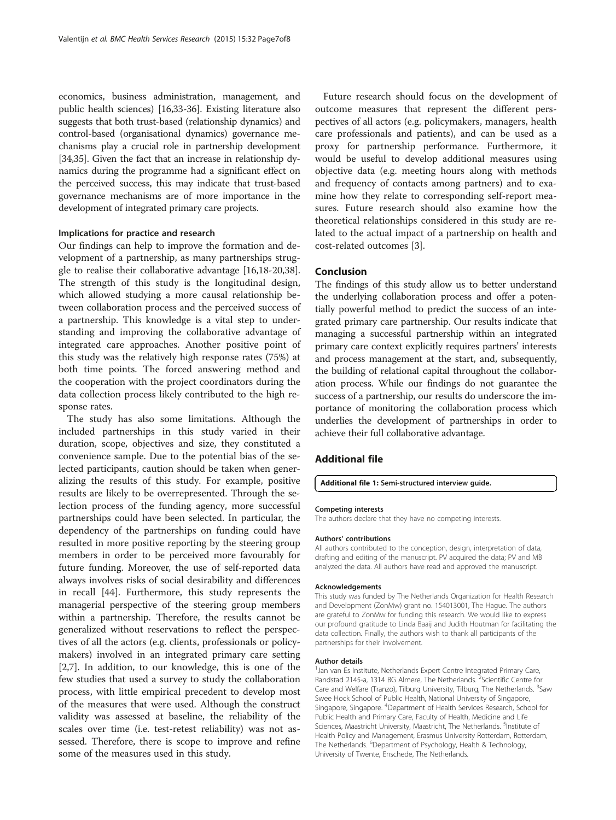<span id="page-6-0"></span>economics, business administration, management, and public health sciences) [\[16,33](#page-7-0)-[36](#page-7-0)]. Existing literature also suggests that both trust-based (relationship dynamics) and control-based (organisational dynamics) governance mechanisms play a crucial role in partnership development [[34,35\]](#page-7-0). Given the fact that an increase in relationship dynamics during the programme had a significant effect on the perceived success, this may indicate that trust-based governance mechanisms are of more importance in the development of integrated primary care projects.

## Implications for practice and research

Our findings can help to improve the formation and development of a partnership, as many partnerships struggle to realise their collaborative advantage [\[16,18-20,38](#page-7-0)]. The strength of this study is the longitudinal design, which allowed studying a more causal relationship between collaboration process and the perceived success of a partnership. This knowledge is a vital step to understanding and improving the collaborative advantage of integrated care approaches. Another positive point of this study was the relatively high response rates (75%) at both time points. The forced answering method and the cooperation with the project coordinators during the data collection process likely contributed to the high response rates.

The study has also some limitations. Although the included partnerships in this study varied in their duration, scope, objectives and size, they constituted a convenience sample. Due to the potential bias of the selected participants, caution should be taken when generalizing the results of this study. For example, positive results are likely to be overrepresented. Through the selection process of the funding agency, more successful partnerships could have been selected. In particular, the dependency of the partnerships on funding could have resulted in more positive reporting by the steering group members in order to be perceived more favourably for future funding. Moreover, the use of self-reported data always involves risks of social desirability and differences in recall [\[44](#page-7-0)]. Furthermore, this study represents the managerial perspective of the steering group members within a partnership. Therefore, the results cannot be generalized without reservations to reflect the perspectives of all the actors (e.g. clients, professionals or policymakers) involved in an integrated primary care setting [[2,7\]](#page-7-0). In addition, to our knowledge, this is one of the few studies that used a survey to study the collaboration process, with little empirical precedent to develop most of the measures that were used. Although the construct validity was assessed at baseline, the reliability of the scales over time (i.e. test-retest reliability) was not assessed. Therefore, there is scope to improve and refine some of the measures used in this study.

Future research should focus on the development of outcome measures that represent the different perspectives of all actors (e.g. policymakers, managers, health care professionals and patients), and can be used as a proxy for partnership performance. Furthermore, it would be useful to develop additional measures using objective data (e.g. meeting hours along with methods and frequency of contacts among partners) and to examine how they relate to corresponding self-report measures. Future research should also examine how the theoretical relationships considered in this study are related to the actual impact of a partnership on health and cost-related outcomes [[3\]](#page-7-0).

## Conclusion

The findings of this study allow us to better understand the underlying collaboration process and offer a potentially powerful method to predict the success of an integrated primary care partnership. Our results indicate that managing a successful partnership within an integrated primary care context explicitly requires partners' interests and process management at the start, and, subsequently, the building of relational capital throughout the collaboration process. While our findings do not guarantee the success of a partnership, our results do underscore the importance of monitoring the collaboration process which underlies the development of partnerships in order to achieve their full collaborative advantage.

## Additional file

#### [Additional file 1:](http://www.biomedcentral.com/content/supplementary/s12913-014-0634-x-s1.docx) Semi-structured interview guide.

#### Competing interests

The authors declare that they have no competing interests.

### Authors' contributions

All authors contributed to the conception, design, interpretation of data, drafting and editing of the manuscript. PV acquired the data; PV and MB analyzed the data. All authors have read and approved the manuscript.

#### Acknowledgements

This study was funded by The Netherlands Organization for Health Research and Development (ZonMw) grant no. 154013001, The Hague. The authors are grateful to ZonMw for funding this research. We would like to express our profound gratitude to Linda Baaij and Judith Houtman for facilitating the data collection. Finally, the authors wish to thank all participants of the partnerships for their involvement.

#### Author details

<sup>1</sup> Jan van Es Institute, Netherlands Expert Centre Integrated Primary Care, Randstad 2145-a, 1314 BG Almere, The Netherlands. <sup>2</sup>Scientific Centre for Care and Welfare (Tranzo), Tilburg University, Tilburg, The Netherlands. <sup>3</sup>Saw Swee Hock School of Public Health, National University of Singapore, Singapore, Singapore. <sup>4</sup>Department of Health Services Research, School for Public Health and Primary Care, Faculty of Health, Medicine and Life Sciences, Maastricht University, Maastricht, The Netherlands. <sup>5</sup>Institute of Health Policy and Management, Erasmus University Rotterdam, Rotterdam, The Netherlands. <sup>6</sup>Department of Psychology, Health & Technology, University of Twente, Enschede, The Netherlands.